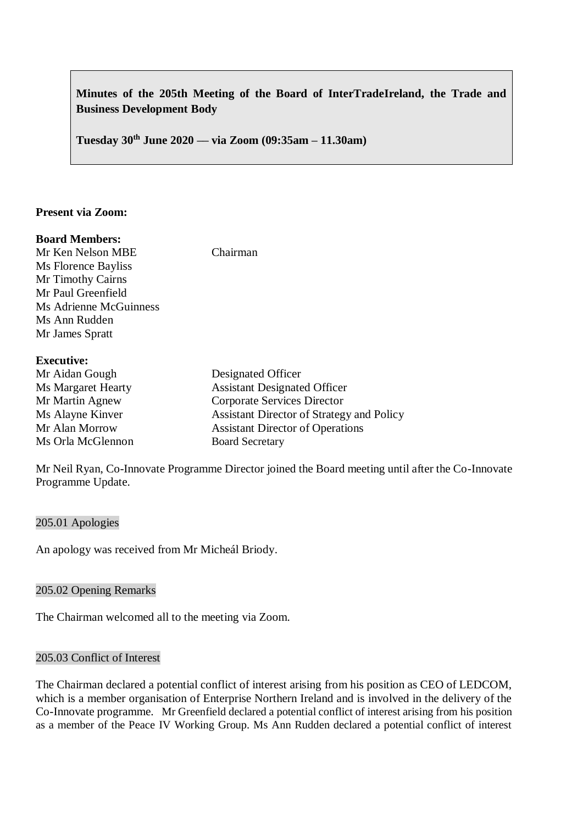# **Minutes of the 205th Meeting of the Board of InterTradeIreland, the Trade and Business Development Body**

**Tuesday 30th June 2020 –– via Zoom (09:35am – 11.30am)**

### **Present via Zoom:**

#### **Board Members:**

Ms Florence Bayliss Mr Timothy Cairns

Mr Ken Nelson MBE Chairman

| Mr Paul Greenfield        |
|---------------------------|
| Ms Adrienne McGuinness    |
| Ms Ann Rudden             |
| Mr James Spratt           |
|                           |
| <b>Executive:</b>         |
| Mr Aidan Gough            |
| <b>Ms Margaret Hearty</b> |
| Mr Martin Agnew           |

| Mr Aidan Gough            | Designated Officer                               |
|---------------------------|--------------------------------------------------|
| <b>Ms Margaret Hearty</b> | <b>Assistant Designated Officer</b>              |
| Mr Martin Agnew           | <b>Corporate Services Director</b>               |
| Ms Alayne Kinver          | <b>Assistant Director of Strategy and Policy</b> |
| Mr Alan Morrow            | <b>Assistant Director of Operations</b>          |
| Ms Orla McGlennon         | <b>Board Secretary</b>                           |

Mr Neil Ryan, Co-Innovate Programme Director joined the Board meeting until after the Co-Innovate Programme Update.

#### 205.01 Apologies

An apology was received from Mr Micheál Briody.

### 205.02 Opening Remarks

The Chairman welcomed all to the meeting via Zoom.

### 205.03 Conflict of Interest

The Chairman declared a potential conflict of interest arising from his position as CEO of LEDCOM, which is a member organisation of Enterprise Northern Ireland and is involved in the delivery of the Co-Innovate programme. Mr Greenfield declared a potential conflict of interest arising from his position as a member of the Peace IV Working Group. Ms Ann Rudden declared a potential conflict of interest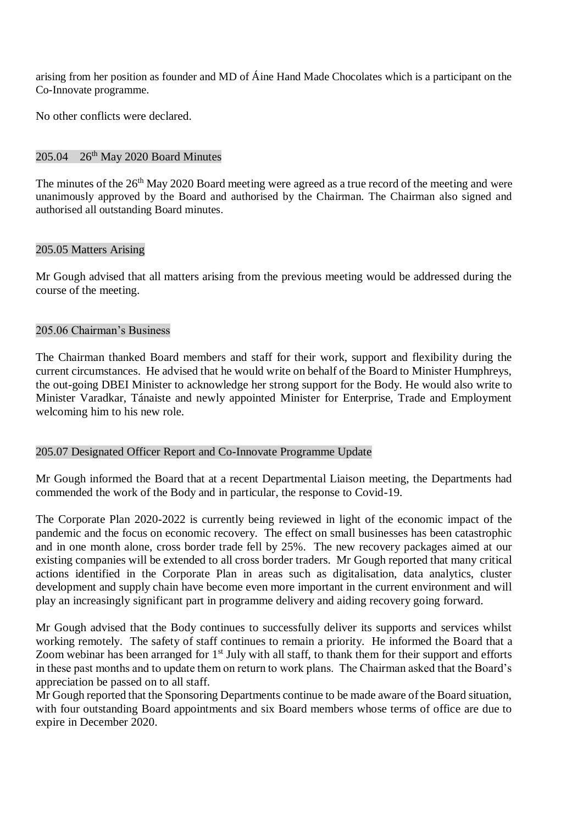arising from her position as founder and MD of Áine Hand Made Chocolates which is a participant on the Co-Innovate programme.

No other conflicts were declared.

### $205.04$   $26<sup>th</sup>$  May 2020 Board Minutes

The minutes of the 26<sup>th</sup> May 2020 Board meeting were agreed as a true record of the meeting and were unanimously approved by the Board and authorised by the Chairman. The Chairman also signed and authorised all outstanding Board minutes.

### 205.05 Matters Arising

Mr Gough advised that all matters arising from the previous meeting would be addressed during the course of the meeting.

### 205.06 Chairman's Business

The Chairman thanked Board members and staff for their work, support and flexibility during the current circumstances. He advised that he would write on behalf of the Board to Minister Humphreys, the out-going DBEI Minister to acknowledge her strong support for the Body. He would also write to Minister Varadkar, Tánaiste and newly appointed Minister for Enterprise, Trade and Employment welcoming him to his new role.

### 205.07 Designated Officer Report and Co-Innovate Programme Update

Mr Gough informed the Board that at a recent Departmental Liaison meeting, the Departments had commended the work of the Body and in particular, the response to Covid-19.

The Corporate Plan 2020-2022 is currently being reviewed in light of the economic impact of the pandemic and the focus on economic recovery. The effect on small businesses has been catastrophic and in one month alone, cross border trade fell by 25%. The new recovery packages aimed at our existing companies will be extended to all cross border traders. Mr Gough reported that many critical actions identified in the Corporate Plan in areas such as digitalisation, data analytics, cluster development and supply chain have become even more important in the current environment and will play an increasingly significant part in programme delivery and aiding recovery going forward.

Mr Gough advised that the Body continues to successfully deliver its supports and services whilst working remotely. The safety of staff continues to remain a priority. He informed the Board that a Zoom webinar has been arranged for  $1<sup>st</sup>$  July with all staff, to thank them for their support and efforts in these past months and to update them on return to work plans. The Chairman asked that the Board's appreciation be passed on to all staff.

Mr Gough reported that the Sponsoring Departments continue to be made aware of the Board situation, with four outstanding Board appointments and six Board members whose terms of office are due to expire in December 2020.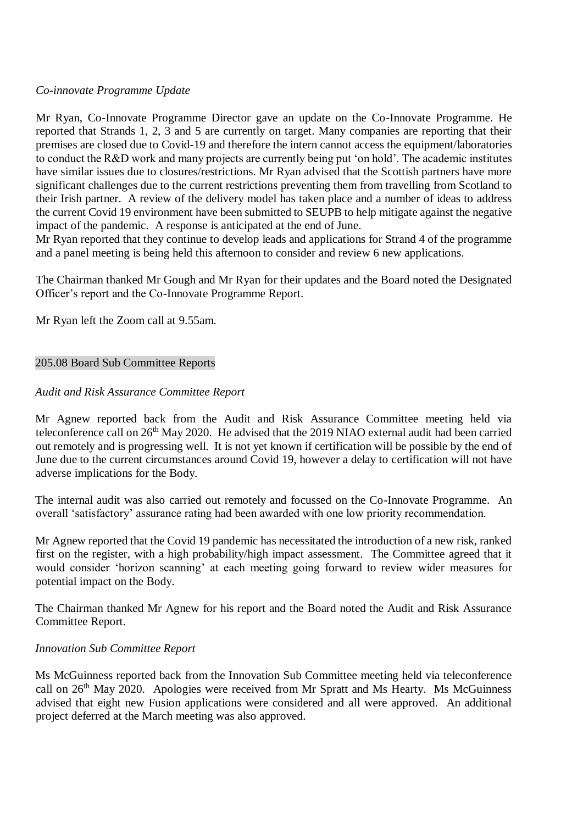# *Co-innovate Programme Update*

Mr Ryan, Co-Innovate Programme Director gave an update on the Co-Innovate Programme. He reported that Strands 1, 2, 3 and 5 are currently on target. Many companies are reporting that their premises are closed due to Covid-19 and therefore the intern cannot access the equipment/laboratories to conduct the R&D work and many projects are currently being put 'on hold'. The academic institutes have similar issues due to closures/restrictions. Mr Ryan advised that the Scottish partners have more significant challenges due to the current restrictions preventing them from travelling from Scotland to their Irish partner. A review of the delivery model has taken place and a number of ideas to address the current Covid 19 environment have been submitted to SEUPB to help mitigate against the negative impact of the pandemic. A response is anticipated at the end of June.

Mr Ryan reported that they continue to develop leads and applications for Strand 4 of the programme and a panel meeting is being held this afternoon to consider and review 6 new applications.

The Chairman thanked Mr Gough and Mr Ryan for their updates and the Board noted the Designated Officer's report and the Co-Innovate Programme Report.

Mr Ryan left the Zoom call at 9.55am.

# 205.08 Board Sub Committee Reports

# *Audit and Risk Assurance Committee Report*

Mr Agnew reported back from the Audit and Risk Assurance Committee meeting held via teleconference call on 26<sup>th</sup> May 2020. He advised that the 2019 NIAO external audit had been carried out remotely and is progressing well. It is not yet known if certification will be possible by the end of June due to the current circumstances around Covid 19, however a delay to certification will not have adverse implications for the Body.

The internal audit was also carried out remotely and focussed on the Co-Innovate Programme. An overall 'satisfactory' assurance rating had been awarded with one low priority recommendation.

Mr Agnew reported that the Covid 19 pandemic has necessitated the introduction of a new risk, ranked first on the register, with a high probability/high impact assessment. The Committee agreed that it would consider 'horizon scanning' at each meeting going forward to review wider measures for potential impact on the Body.

The Chairman thanked Mr Agnew for his report and the Board noted the Audit and Risk Assurance Committee Report.

### *Innovation Sub Committee Report*

Ms McGuinness reported back from the Innovation Sub Committee meeting held via teleconference call on 26<sup>th</sup> May 2020. Apologies were received from Mr Spratt and Ms Hearty. Ms McGuinness advised that eight new Fusion applications were considered and all were approved. An additional project deferred at the March meeting was also approved.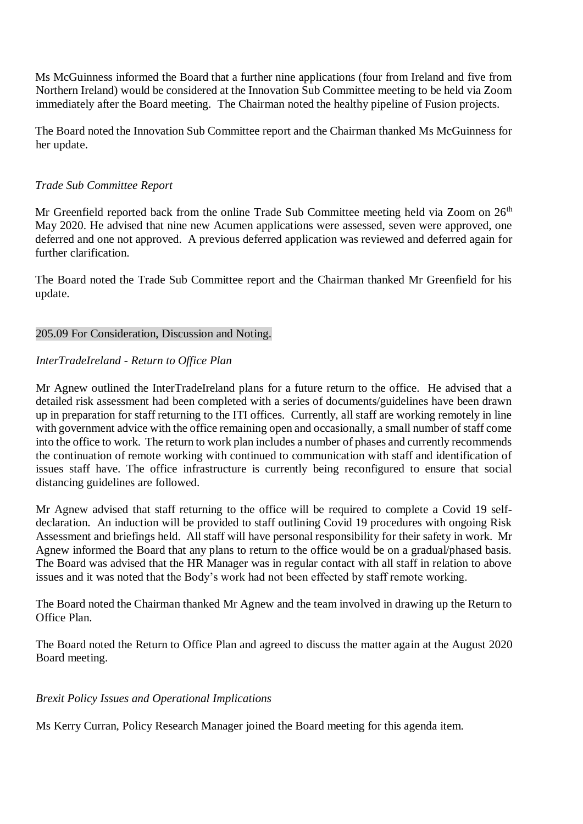Ms McGuinness informed the Board that a further nine applications (four from Ireland and five from Northern Ireland) would be considered at the Innovation Sub Committee meeting to be held via Zoom immediately after the Board meeting. The Chairman noted the healthy pipeline of Fusion projects.

The Board noted the Innovation Sub Committee report and the Chairman thanked Ms McGuinness for her update.

# *Trade Sub Committee Report*

Mr Greenfield reported back from the online Trade Sub Committee meeting held via Zoom on  $26<sup>th</sup>$ May 2020. He advised that nine new Acumen applications were assessed, seven were approved, one deferred and one not approved. A previous deferred application was reviewed and deferred again for further clarification.

The Board noted the Trade Sub Committee report and the Chairman thanked Mr Greenfield for his update.

# 205.09 For Consideration, Discussion and Noting.

# *InterTradeIreland - Return to Office Plan*

Mr Agnew outlined the InterTradeIreland plans for a future return to the office. He advised that a detailed risk assessment had been completed with a series of documents/guidelines have been drawn up in preparation for staff returning to the ITI offices. Currently, all staff are working remotely in line with government advice with the office remaining open and occasionally, a small number of staff come into the office to work. The return to work plan includes a number of phases and currently recommends the continuation of remote working with continued to communication with staff and identification of issues staff have. The office infrastructure is currently being reconfigured to ensure that social distancing guidelines are followed.

Mr Agnew advised that staff returning to the office will be required to complete a Covid 19 selfdeclaration. An induction will be provided to staff outlining Covid 19 procedures with ongoing Risk Assessment and briefings held. All staff will have personal responsibility for their safety in work. Mr Agnew informed the Board that any plans to return to the office would be on a gradual/phased basis. The Board was advised that the HR Manager was in regular contact with all staff in relation to above issues and it was noted that the Body's work had not been effected by staff remote working.

The Board noted the Chairman thanked Mr Agnew and the team involved in drawing up the Return to Office Plan.

The Board noted the Return to Office Plan and agreed to discuss the matter again at the August 2020 Board meeting.

# *Brexit Policy Issues and Operational Implications*

Ms Kerry Curran, Policy Research Manager joined the Board meeting for this agenda item.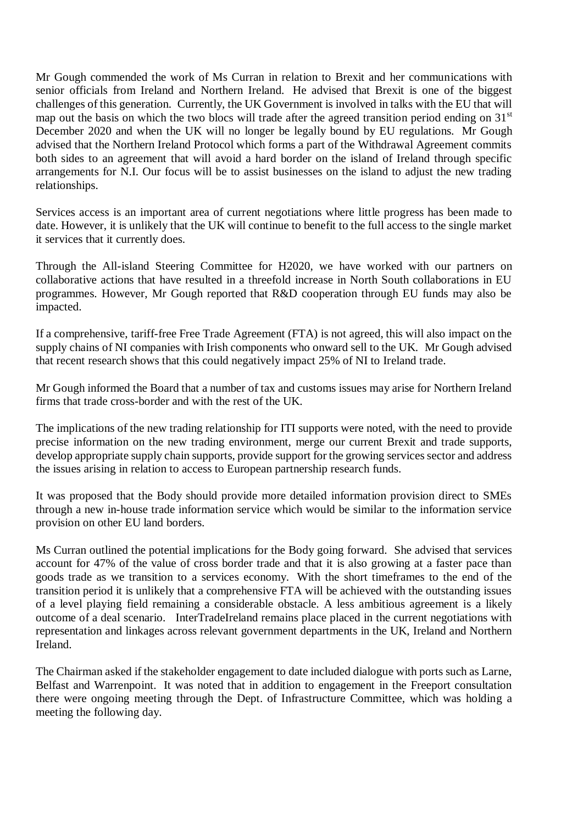Mr Gough commended the work of Ms Curran in relation to Brexit and her communications with senior officials from Ireland and Northern Ireland. He advised that Brexit is one of the biggest challenges of this generation. Currently, the UK Government is involved in talks with the EU that will map out the basis on which the two blocs will trade after the agreed transition period ending on 31<sup>st</sup> December 2020 and when the UK will no longer be legally bound by EU regulations. Mr Gough advised that the Northern Ireland Protocol which forms a part of the Withdrawal Agreement commits both sides to an agreement that will avoid a hard border on the island of Ireland through specific arrangements for N.I. Our focus will be to assist businesses on the island to adjust the new trading relationships.

Services access is an important area of current negotiations where little progress has been made to date. However, it is unlikely that the UK will continue to benefit to the full access to the single market it services that it currently does.

Through the All-island Steering Committee for H2020, we have worked with our partners on collaborative actions that have resulted in a threefold increase in North South collaborations in EU programmes. However, Mr Gough reported that R&D cooperation through EU funds may also be impacted.

If a comprehensive, tariff-free Free Trade Agreement (FTA) is not agreed, this will also impact on the supply chains of NI companies with Irish components who onward sell to the UK. Mr Gough advised that recent research shows that this could negatively impact 25% of NI to Ireland trade.

Mr Gough informed the Board that a number of tax and customs issues may arise for Northern Ireland firms that trade cross-border and with the rest of the UK.

The implications of the new trading relationship for ITI supports were noted, with the need to provide precise information on the new trading environment, merge our current Brexit and trade supports, develop appropriate supply chain supports, provide support for the growing services sector and address the issues arising in relation to access to European partnership research funds.

It was proposed that the Body should provide more detailed information provision direct to SMEs through a new in-house trade information service which would be similar to the information service provision on other EU land borders.

Ms Curran outlined the potential implications for the Body going forward. She advised that services account for 47% of the value of cross border trade and that it is also growing at a faster pace than goods trade as we transition to a services economy. With the short timeframes to the end of the transition period it is unlikely that a comprehensive FTA will be achieved with the outstanding issues of a level playing field remaining a considerable obstacle. A less ambitious agreement is a likely outcome of a deal scenario. InterTradeIreland remains place placed in the current negotiations with representation and linkages across relevant government departments in the UK, Ireland and Northern Ireland.

The Chairman asked if the stakeholder engagement to date included dialogue with ports such as Larne, Belfast and Warrenpoint. It was noted that in addition to engagement in the Freeport consultation there were ongoing meeting through the Dept. of Infrastructure Committee, which was holding a meeting the following day.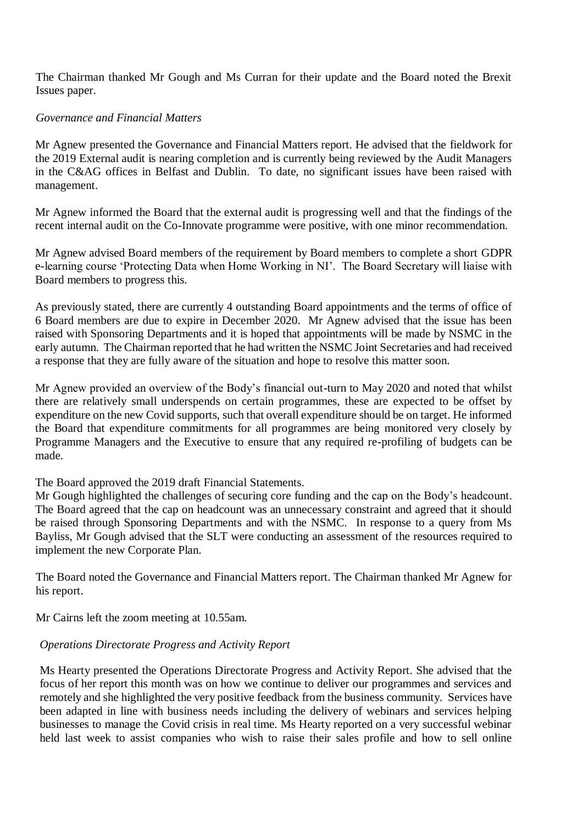The Chairman thanked Mr Gough and Ms Curran for their update and the Board noted the Brexit Issues paper.

# *Governance and Financial Matters*

Mr Agnew presented the Governance and Financial Matters report. He advised that the fieldwork for the 2019 External audit is nearing completion and is currently being reviewed by the Audit Managers in the C&AG offices in Belfast and Dublin. To date, no significant issues have been raised with management.

Mr Agnew informed the Board that the external audit is progressing well and that the findings of the recent internal audit on the Co-Innovate programme were positive, with one minor recommendation.

Mr Agnew advised Board members of the requirement by Board members to complete a short GDPR e-learning course 'Protecting Data when Home Working in NI'. The Board Secretary will liaise with Board members to progress this.

As previously stated, there are currently 4 outstanding Board appointments and the terms of office of 6 Board members are due to expire in December 2020. Mr Agnew advised that the issue has been raised with Sponsoring Departments and it is hoped that appointments will be made by NSMC in the early autumn. The Chairman reported that he had written the NSMC Joint Secretaries and had received a response that they are fully aware of the situation and hope to resolve this matter soon.

Mr Agnew provided an overview of the Body's financial out-turn to May 2020 and noted that whilst there are relatively small underspends on certain programmes, these are expected to be offset by expenditure on the new Covid supports, such that overall expenditure should be on target. He informed the Board that expenditure commitments for all programmes are being monitored very closely by Programme Managers and the Executive to ensure that any required re-profiling of budgets can be made.

### The Board approved the 2019 draft Financial Statements.

Mr Gough highlighted the challenges of securing core funding and the cap on the Body's headcount. The Board agreed that the cap on headcount was an unnecessary constraint and agreed that it should be raised through Sponsoring Departments and with the NSMC. In response to a query from Ms Bayliss, Mr Gough advised that the SLT were conducting an assessment of the resources required to implement the new Corporate Plan.

The Board noted the Governance and Financial Matters report. The Chairman thanked Mr Agnew for his report.

Mr Cairns left the zoom meeting at 10.55am.

# *Operations Directorate Progress and Activity Report*

Ms Hearty presented the Operations Directorate Progress and Activity Report. She advised that the focus of her report this month was on how we continue to deliver our programmes and services and remotely and she highlighted the very positive feedback from the business community. Services have been adapted in line with business needs including the delivery of webinars and services helping businesses to manage the Covid crisis in real time. Ms Hearty reported on a very successful webinar held last week to assist companies who wish to raise their sales profile and how to sell online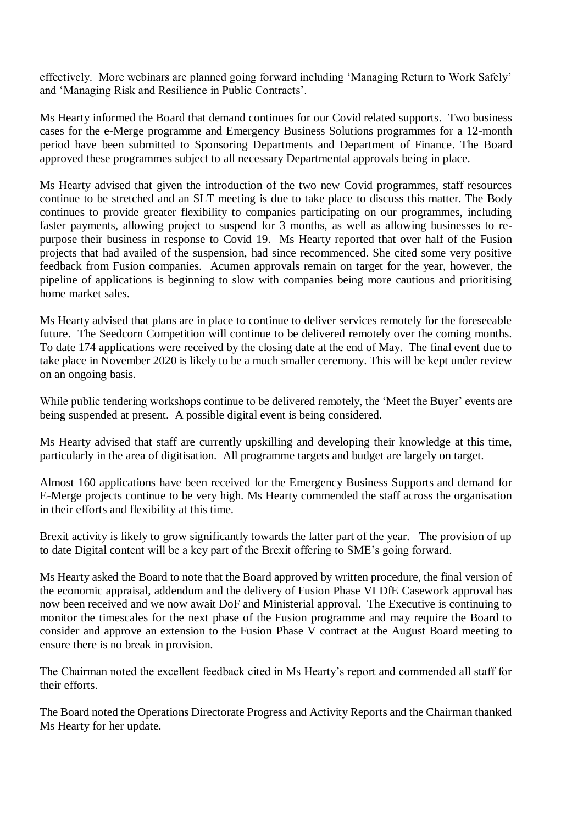effectively. More webinars are planned going forward including 'Managing Return to Work Safely' and 'Managing Risk and Resilience in Public Contracts'.

Ms Hearty informed the Board that demand continues for our Covid related supports. Two business cases for the e-Merge programme and Emergency Business Solutions programmes for a 12-month period have been submitted to Sponsoring Departments and Department of Finance. The Board approved these programmes subject to all necessary Departmental approvals being in place.

Ms Hearty advised that given the introduction of the two new Covid programmes, staff resources continue to be stretched and an SLT meeting is due to take place to discuss this matter. The Body continues to provide greater flexibility to companies participating on our programmes, including faster payments, allowing project to suspend for 3 months, as well as allowing businesses to repurpose their business in response to Covid 19. Ms Hearty reported that over half of the Fusion projects that had availed of the suspension, had since recommenced. She cited some very positive feedback from Fusion companies. Acumen approvals remain on target for the year, however, the pipeline of applications is beginning to slow with companies being more cautious and prioritising home market sales.

Ms Hearty advised that plans are in place to continue to deliver services remotely for the foreseeable future. The Seedcorn Competition will continue to be delivered remotely over the coming months. To date 174 applications were received by the closing date at the end of May. The final event due to take place in November 2020 is likely to be a much smaller ceremony. This will be kept under review on an ongoing basis.

While public tendering workshops continue to be delivered remotely, the 'Meet the Buyer' events are being suspended at present. A possible digital event is being considered.

Ms Hearty advised that staff are currently upskilling and developing their knowledge at this time, particularly in the area of digitisation. All programme targets and budget are largely on target.

Almost 160 applications have been received for the Emergency Business Supports and demand for E-Merge projects continue to be very high. Ms Hearty commended the staff across the organisation in their efforts and flexibility at this time.

Brexit activity is likely to grow significantly towards the latter part of the year. The provision of up to date Digital content will be a key part of the Brexit offering to SME's going forward.

Ms Hearty asked the Board to note that the Board approved by written procedure, the final version of the economic appraisal, addendum and the delivery of Fusion Phase VI DfE Casework approval has now been received and we now await DoF and Ministerial approval. The Executive is continuing to monitor the timescales for the next phase of the Fusion programme and may require the Board to consider and approve an extension to the Fusion Phase  $\overline{V}$  contract at the August Board meeting to ensure there is no break in provision.

The Chairman noted the excellent feedback cited in Ms Hearty's report and commended all staff for their efforts.

The Board noted the Operations Directorate Progress and Activity Reports and the Chairman thanked Ms Hearty for her update.